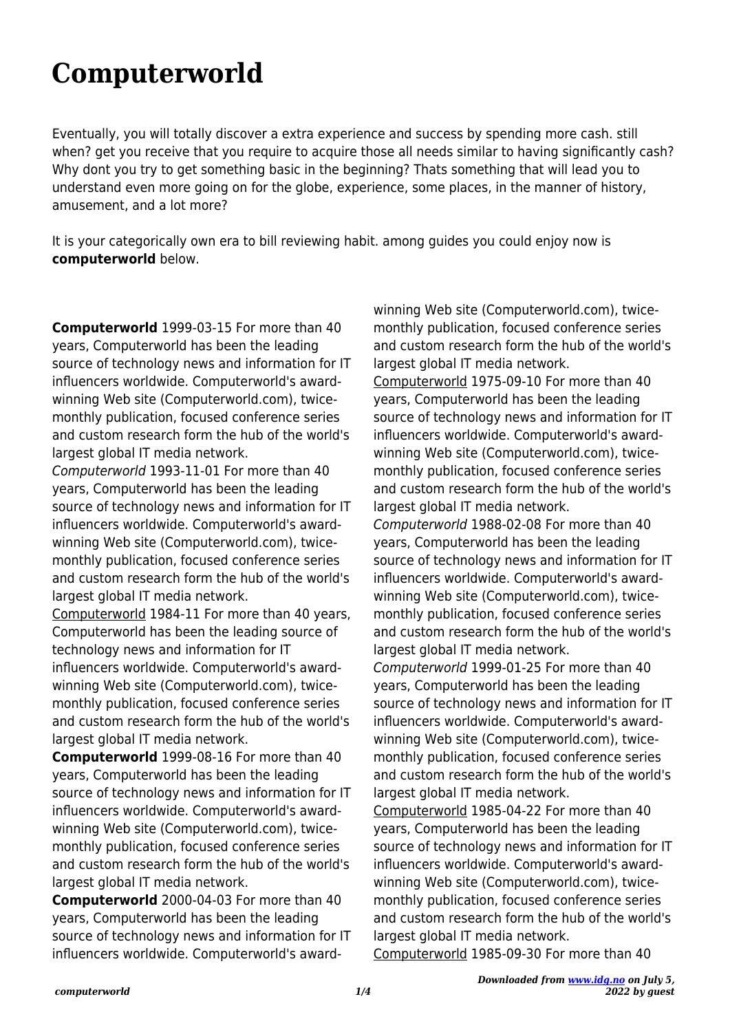## **Computerworld**

Eventually, you will totally discover a extra experience and success by spending more cash. still when? get you receive that you require to acquire those all needs similar to having significantly cash? Why dont you try to get something basic in the beginning? Thats something that will lead you to understand even more going on for the globe, experience, some places, in the manner of history, amusement, and a lot more?

It is your categorically own era to bill reviewing habit. among guides you could enjoy now is **computerworld** below.

**Computerworld** 1999-03-15 For more than 40 years, Computerworld has been the leading source of technology news and information for IT influencers worldwide. Computerworld's awardwinning Web site (Computerworld.com), twicemonthly publication, focused conference series and custom research form the hub of the world's largest global IT media network.

Computerworld 1993-11-01 For more than 40 years, Computerworld has been the leading source of technology news and information for IT influencers worldwide. Computerworld's awardwinning Web site (Computerworld.com), twicemonthly publication, focused conference series and custom research form the hub of the world's largest global IT media network.

Computerworld 1984-11 For more than 40 years, Computerworld has been the leading source of technology news and information for IT influencers worldwide. Computerworld's awardwinning Web site (Computerworld.com), twicemonthly publication, focused conference series and custom research form the hub of the world's largest global IT media network.

**Computerworld** 1999-08-16 For more than 40 years, Computerworld has been the leading source of technology news and information for IT influencers worldwide. Computerworld's awardwinning Web site (Computerworld.com), twicemonthly publication, focused conference series and custom research form the hub of the world's largest global IT media network.

**Computerworld** 2000-04-03 For more than 40 years, Computerworld has been the leading source of technology news and information for IT influencers worldwide. Computerworld's awardwinning Web site (Computerworld.com), twicemonthly publication, focused conference series and custom research form the hub of the world's largest global IT media network. Computerworld 1975-09-10 For more than 40 years, Computerworld has been the leading source of technology news and information for IT influencers worldwide. Computerworld's awardwinning Web site (Computerworld.com), twicemonthly publication, focused conference series and custom research form the hub of the world's largest global IT media network. Computerworld 1988-02-08 For more than 40 years, Computerworld has been the leading source of technology news and information for IT influencers worldwide. Computerworld's awardwinning Web site (Computerworld.com), twicemonthly publication, focused conference series and custom research form the hub of the world's largest global IT media network. Computerworld 1999-01-25 For more than 40 years, Computerworld has been the leading source of technology news and information for IT influencers worldwide. Computerworld's awardwinning Web site (Computerworld.com), twicemonthly publication, focused conference series and custom research form the hub of the world's largest global IT media network. Computerworld 1985-04-22 For more than 40

years, Computerworld has been the leading source of technology news and information for IT influencers worldwide. Computerworld's awardwinning Web site (Computerworld.com), twicemonthly publication, focused conference series and custom research form the hub of the world's largest global IT media network.

Computerworld 1985-09-30 For more than 40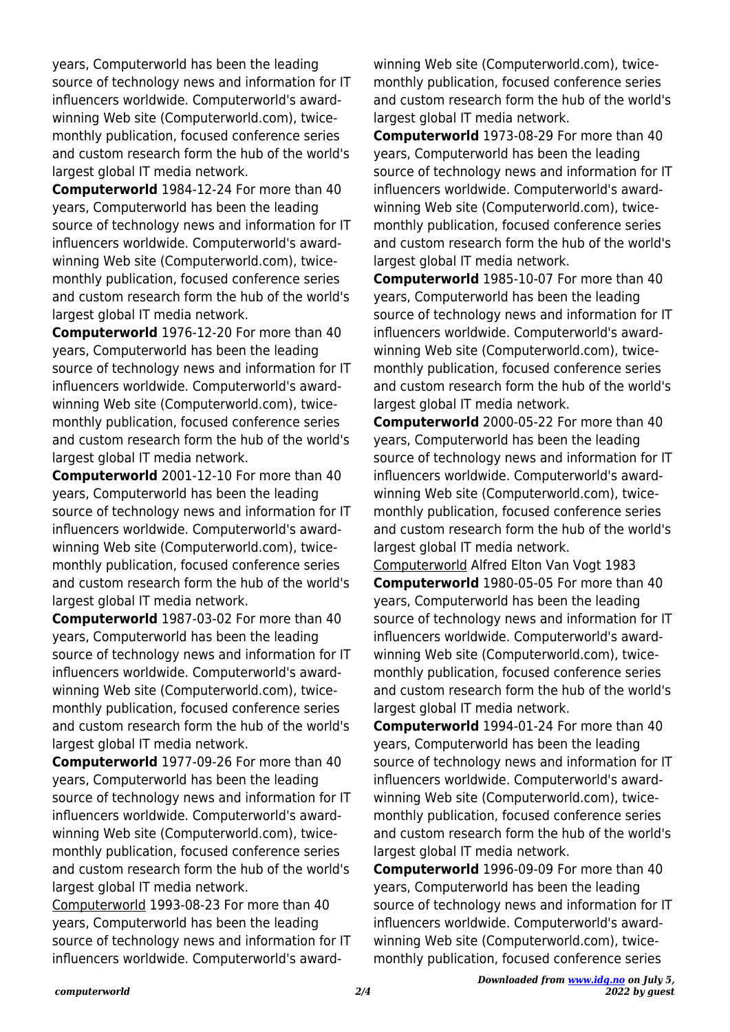years, Computerworld has been the leading source of technology news and information for IT influencers worldwide. Computerworld's awardwinning Web site (Computerworld.com), twicemonthly publication, focused conference series and custom research form the hub of the world's largest global IT media network.

**Computerworld** 1984-12-24 For more than 40 years, Computerworld has been the leading source of technology news and information for IT influencers worldwide. Computerworld's awardwinning Web site (Computerworld.com), twicemonthly publication, focused conference series and custom research form the hub of the world's largest global IT media network.

**Computerworld** 1976-12-20 For more than 40 years, Computerworld has been the leading source of technology news and information for IT influencers worldwide. Computerworld's awardwinning Web site (Computerworld.com), twicemonthly publication, focused conference series and custom research form the hub of the world's largest global IT media network.

**Computerworld** 2001-12-10 For more than 40 years, Computerworld has been the leading source of technology news and information for IT influencers worldwide. Computerworld's awardwinning Web site (Computerworld.com), twicemonthly publication, focused conference series and custom research form the hub of the world's largest global IT media network.

**Computerworld** 1987-03-02 For more than 40 years, Computerworld has been the leading source of technology news and information for IT influencers worldwide. Computerworld's awardwinning Web site (Computerworld.com), twicemonthly publication, focused conference series and custom research form the hub of the world's largest global IT media network.

**Computerworld** 1977-09-26 For more than 40 years, Computerworld has been the leading source of technology news and information for IT influencers worldwide. Computerworld's awardwinning Web site (Computerworld.com), twicemonthly publication, focused conference series and custom research form the hub of the world's largest global IT media network.

Computerworld 1993-08-23 For more than 40 years, Computerworld has been the leading source of technology news and information for IT influencers worldwide. Computerworld's awardwinning Web site (Computerworld.com), twicemonthly publication, focused conference series and custom research form the hub of the world's largest global IT media network.

**Computerworld** 1973-08-29 For more than 40 years, Computerworld has been the leading source of technology news and information for IT influencers worldwide. Computerworld's awardwinning Web site (Computerworld.com), twicemonthly publication, focused conference series and custom research form the hub of the world's largest global IT media network.

**Computerworld** 1985-10-07 For more than 40 years, Computerworld has been the leading source of technology news and information for IT influencers worldwide. Computerworld's awardwinning Web site (Computerworld.com), twicemonthly publication, focused conference series and custom research form the hub of the world's largest global IT media network.

**Computerworld** 2000-05-22 For more than 40 years, Computerworld has been the leading source of technology news and information for IT influencers worldwide. Computerworld's awardwinning Web site (Computerworld.com), twicemonthly publication, focused conference series and custom research form the hub of the world's largest global IT media network.

Computerworld Alfred Elton Van Vogt 1983 **Computerworld** 1980-05-05 For more than 40 years, Computerworld has been the leading source of technology news and information for IT influencers worldwide. Computerworld's awardwinning Web site (Computerworld.com), twicemonthly publication, focused conference series and custom research form the hub of the world's largest global IT media network.

**Computerworld** 1994-01-24 For more than 40 years, Computerworld has been the leading source of technology news and information for IT influencers worldwide. Computerworld's awardwinning Web site (Computerworld.com), twicemonthly publication, focused conference series and custom research form the hub of the world's largest global IT media network.

**Computerworld** 1996-09-09 For more than 40 years, Computerworld has been the leading source of technology news and information for IT influencers worldwide. Computerworld's awardwinning Web site (Computerworld.com), twicemonthly publication, focused conference series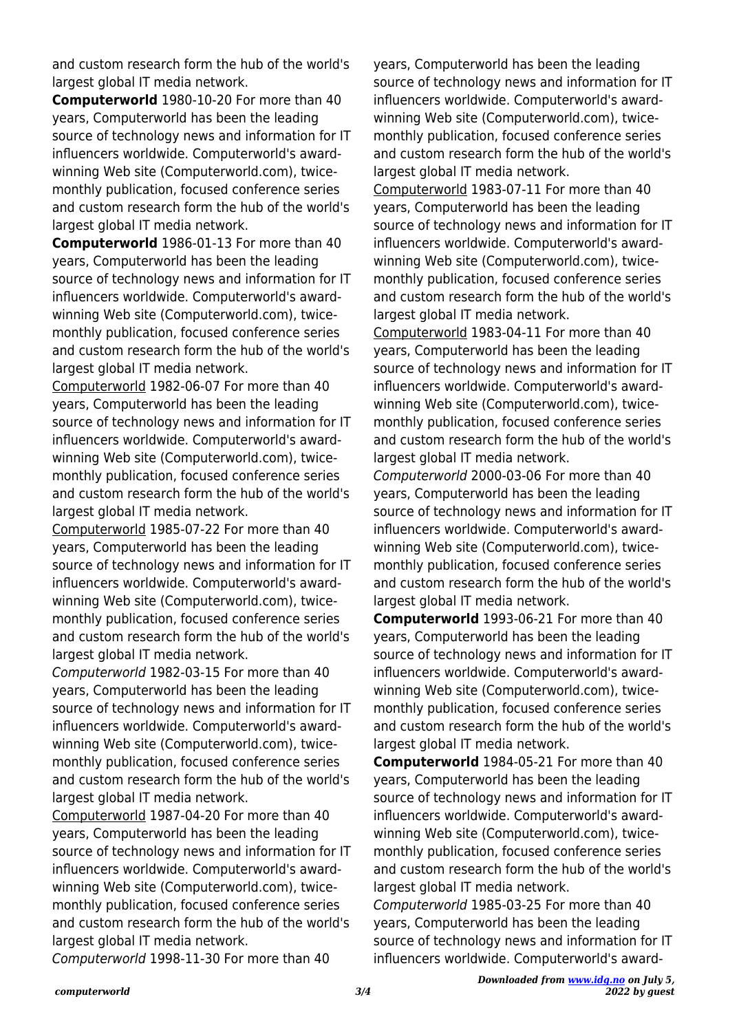and custom research form the hub of the world's largest global IT media network.

**Computerworld** 1980-10-20 For more than 40 years, Computerworld has been the leading source of technology news and information for IT influencers worldwide. Computerworld's awardwinning Web site (Computerworld.com), twicemonthly publication, focused conference series and custom research form the hub of the world's largest global IT media network.

**Computerworld** 1986-01-13 For more than 40 years, Computerworld has been the leading source of technology news and information for IT influencers worldwide. Computerworld's awardwinning Web site (Computerworld.com), twicemonthly publication, focused conference series and custom research form the hub of the world's largest global IT media network.

Computerworld 1982-06-07 For more than 40 years, Computerworld has been the leading source of technology news and information for IT influencers worldwide. Computerworld's awardwinning Web site (Computerworld.com), twicemonthly publication, focused conference series and custom research form the hub of the world's largest global IT media network.

Computerworld 1985-07-22 For more than 40 years, Computerworld has been the leading source of technology news and information for IT influencers worldwide. Computerworld's awardwinning Web site (Computerworld.com), twicemonthly publication, focused conference series and custom research form the hub of the world's largest global IT media network.

Computerworld 1982-03-15 For more than 40 years, Computerworld has been the leading source of technology news and information for IT influencers worldwide. Computerworld's awardwinning Web site (Computerworld.com), twicemonthly publication, focused conference series and custom research form the hub of the world's largest global IT media network.

Computerworld 1987-04-20 For more than 40 years, Computerworld has been the leading source of technology news and information for IT influencers worldwide. Computerworld's awardwinning Web site (Computerworld.com), twicemonthly publication, focused conference series and custom research form the hub of the world's largest global IT media network.

Computerworld 1998-11-30 For more than 40

years, Computerworld has been the leading source of technology news and information for IT influencers worldwide. Computerworld's awardwinning Web site (Computerworld.com), twicemonthly publication, focused conference series and custom research form the hub of the world's largest global IT media network.

Computerworld 1983-07-11 For more than 40 years, Computerworld has been the leading source of technology news and information for IT influencers worldwide. Computerworld's awardwinning Web site (Computerworld.com), twicemonthly publication, focused conference series and custom research form the hub of the world's largest global IT media network.

Computerworld 1983-04-11 For more than 40 years, Computerworld has been the leading source of technology news and information for IT influencers worldwide. Computerworld's awardwinning Web site (Computerworld.com), twicemonthly publication, focused conference series and custom research form the hub of the world's largest global IT media network.

Computerworld 2000-03-06 For more than 40 years, Computerworld has been the leading source of technology news and information for IT influencers worldwide. Computerworld's awardwinning Web site (Computerworld.com), twicemonthly publication, focused conference series and custom research form the hub of the world's largest global IT media network.

**Computerworld** 1993-06-21 For more than 40 years, Computerworld has been the leading source of technology news and information for IT influencers worldwide. Computerworld's awardwinning Web site (Computerworld.com), twicemonthly publication, focused conference series and custom research form the hub of the world's largest global IT media network.

**Computerworld** 1984-05-21 For more than 40 years, Computerworld has been the leading source of technology news and information for IT influencers worldwide. Computerworld's awardwinning Web site (Computerworld.com), twicemonthly publication, focused conference series and custom research form the hub of the world's largest global IT media network.

Computerworld 1985-03-25 For more than 40 years, Computerworld has been the leading source of technology news and information for IT influencers worldwide. Computerworld's award